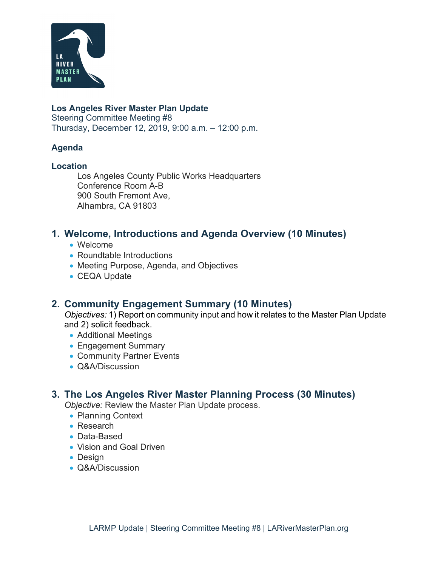

#### **Los Angeles River Master Plan Update**

Steering Committee Meeting #8 Thursday, December 12, 2019, 9:00 a.m. – 12:00 p.m.

#### **Agenda**

#### **Location**

Los Angeles County Public Works Headquarters Conference Room A-B 900 South Fremont Ave, Alhambra, CA 91803

## **1. Welcome, Introductions and Agenda Overview (10 Minutes)**

- Welcome
- Roundtable Introductions
- Meeting Purpose, Agenda, and Objectives
- CEQA Update

## **2. Community Engagement Summary (10 Minutes)**

*Objectives:* 1) Report on community input and how it relates to the Master Plan Update and 2) solicit feedback.

- Additional Meetings
- Engagement Summary
- Community Partner Events
- Q&A/Discussion

### **3. The Los Angeles River Master Planning Process (30 Minutes)**

*Objective:* Review the Master Plan Update process.

- Planning Context
- Research
- Data-Based
- Vision and Goal Driven
- Design
- Q&A/Discussion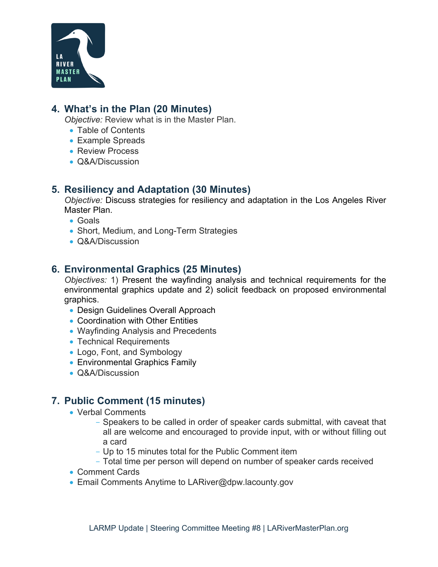

## **4. What's in the Plan (20 Minutes)**

*Objective:* Review what is in the Master Plan.

- Table of Contents
- Example Spreads
- Review Process
- Q&A/Discussion

## **5. Resiliency and Adaptation (30 Minutes)**

*Objective:* Discuss strategies for resiliency and adaptation in the Los Angeles River Master Plan.

- Goals
- Short, Medium, and Long-Term Strategies
- Q&A/Discussion

## **6. Environmental Graphics (25 Minutes)**

*Objectives:* 1) Present the wayfinding analysis and technical requirements for the environmental graphics update and 2) solicit feedback on proposed environmental graphics.

- Design Guidelines Overall Approach
- Coordination with Other Entities
- Wayfinding Analysis and Precedents
- Technical Requirements
- Logo, Font, and Symbology
- Environmental Graphics Family
- Q&A/Discussion

# **7. Public Comment (15 minutes)**

- Verbal Comments
	- Speakers to be called in order of speaker cards submittal, with caveat that all are welcome and encouraged to provide input, with or without filling out a card
	- Up to 15 minutes total for the Public Comment item
	- Total time per person will depend on number of speaker cards received
- Comment Cards
- Email Comments Anytime to LARiver@dpw.lacounty.gov